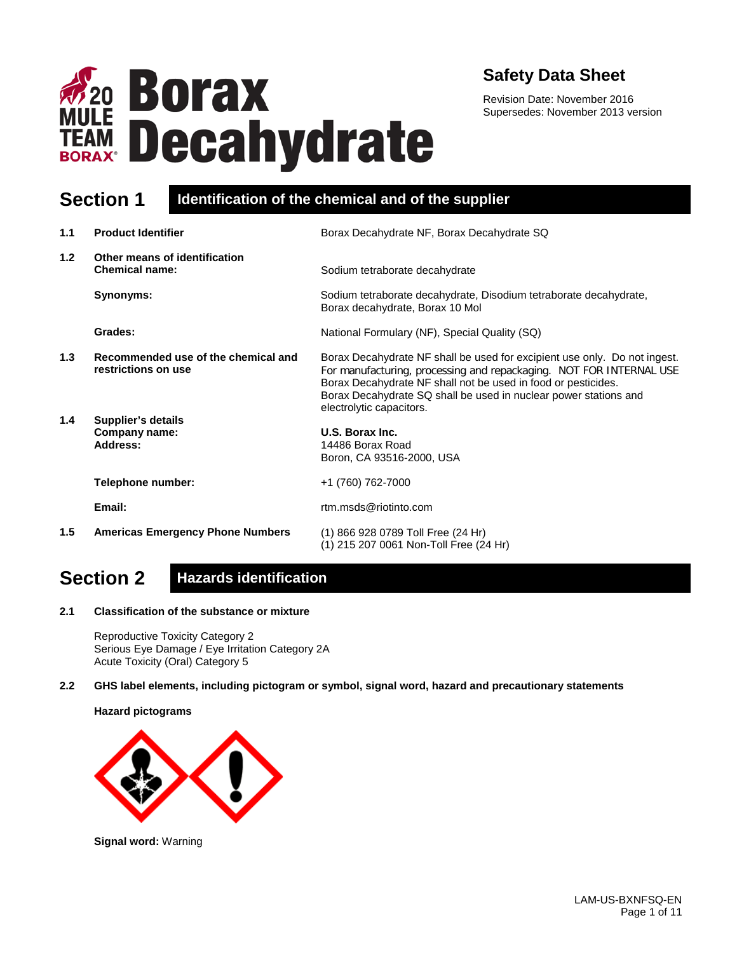

### **Safety Data Sheet**

Revision Date: November 2016 Supersedes: November 2013 version

### **Section 1 Identification of the chemical and of the supplier**

| 1.1 | <b>Product Identifier</b>                                  | Borax Decahydrate NF, Borax Decahydrate SQ                                                                                                                                                                                                                                                                        |
|-----|------------------------------------------------------------|-------------------------------------------------------------------------------------------------------------------------------------------------------------------------------------------------------------------------------------------------------------------------------------------------------------------|
| 1.2 | Other means of identification<br><b>Chemical name:</b>     | Sodium tetraborate decahydrate                                                                                                                                                                                                                                                                                    |
|     | Synonyms:                                                  | Sodium tetraborate decahydrate, Disodium tetraborate decahydrate,<br>Borax decahydrate, Borax 10 Mol                                                                                                                                                                                                              |
|     | Grades:                                                    | National Formulary (NF), Special Quality (SQ)                                                                                                                                                                                                                                                                     |
| 1.3 | Recommended use of the chemical and<br>restrictions on use | Borax Decahydrate NF shall be used for excipient use only. Do not ingest.<br>For manufacturing, processing and repackaging. NOT FOR INTERNAL USE<br>Borax Decahydrate NF shall not be used in food or pesticides.<br>Borax Decahydrate SQ shall be used in nuclear power stations and<br>electrolytic capacitors. |
| 1.4 | <b>Supplier's details</b><br>Company name:<br>Address:     | U.S. Borax Inc.<br>14486 Borax Road<br>Boron, CA 93516-2000, USA                                                                                                                                                                                                                                                  |
|     | Telephone number:                                          | +1 (760) 762-7000                                                                                                                                                                                                                                                                                                 |
|     | Email:                                                     | rtm.msds@riotinto.com                                                                                                                                                                                                                                                                                             |
| 1.5 | <b>Americas Emergency Phone Numbers</b>                    | (1) 866 928 0789 Toll Free (24 Hr)<br>(1) 215 207 0061 Non-Toll Free (24 Hr)                                                                                                                                                                                                                                      |

# **Section 2 Hazards identification**

**2.1 Classification of the substance or mixture**

Reproductive Toxicity Category 2 Serious Eye Damage / Eye Irritation Category 2A Acute Toxicity (Oral) Category 5

**2.2 GHS label elements, including pictogram or symbol, signal word, hazard and precautionary statements** 

#### **Hazard pictograms**



**Signal word:** Warning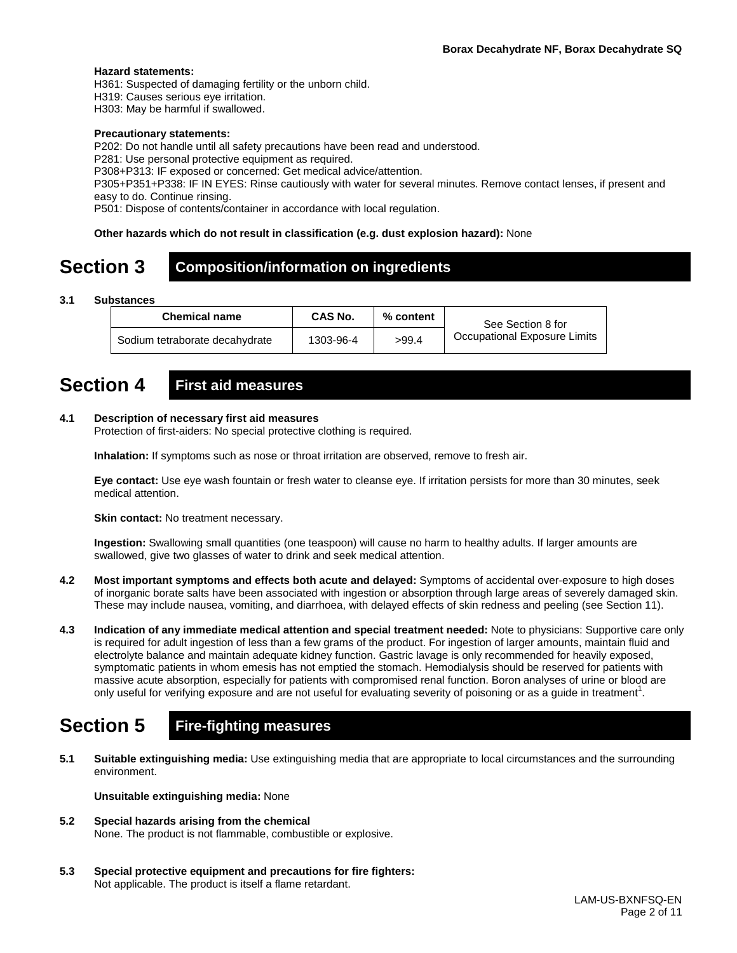#### **Hazard statements:**

H361: Suspected of damaging fertility or the unborn child.

H319: Causes serious eye irritation.

H303: May be harmful if swallowed.

#### **Precautionary statements:**

P202: Do not handle until all safety precautions have been read and understood.

P281: Use personal protective equipment as required.

P308+P313: IF exposed or concerned: Get medical advice/attention.

P305+P351+P338: IF IN EYES: Rinse cautiously with water for several minutes. Remove contact lenses, if present and easy to do. Continue rinsing.

P501: Dispose of contents/container in accordance with local regulation.

#### **Other hazards which do not result in classification (e.g. dust explosion hazard):** None

# **Section 3 Composition/information on ingredients**

**3.1 Substances**

| <b>Chemical name</b>           | CAS No.   | $%$ content | See Section 8 for            |
|--------------------------------|-----------|-------------|------------------------------|
| Sodium tetraborate decahydrate | 1303-96-4 | >99.4       | Occupational Exposure Limits |

### **Section 4 First aid measures**

#### **4.1 Description of necessary first aid measures**

Protection of first-aiders: No special protective clothing is required.

**Inhalation:** If symptoms such as nose or throat irritation are observed, remove to fresh air.

**Eye contact:** Use eye wash fountain or fresh water to cleanse eye. If irritation persists for more than 30 minutes, seek medical attention.

**Skin contact:** No treatment necessary.

**Ingestion:** Swallowing small quantities (one teaspoon) will cause no harm to healthy adults. If larger amounts are swallowed, give two glasses of water to drink and seek medical attention.

- **4.2 Most important symptoms and effects both acute and delayed:** Symptoms of accidental over-exposure to high doses of inorganic borate salts have been associated with ingestion or absorption through large areas of severely damaged skin. These may include nausea, vomiting, and diarrhoea, with delayed effects of skin redness and peeling (see Section 11).
- **4.3 Indication of any immediate medical attention and special treatment needed:** Note to physicians: Supportive care only is required for adult ingestion of less than a few grams of the product. For ingestion of larger amounts, maintain fluid and electrolyte balance and maintain adequate kidney function. Gastric lavage is only recommended for heavily exposed, symptomatic patients in whom emesis has not emptied the stomach. Hemodialysis should be reserved for patients with massive acute absorption, especially for patients with compromised renal function. Boron analyses of urine or blood are only useful for verifying exposure and are not useful for evaluating severity of poisoning or as a guide in treatment<sup>1</sup>.

### **Section 5 Fire-fighting measures**

**5.1 Suitable extinguishing media:** Use extinguishing media that are appropriate to local circumstances and the surrounding environment.

**Unsuitable extinguishing media:** None

- **5.2 Special hazards arising from the chemical** None. The product is not flammable, combustible or explosive.
- **5.3 Special protective equipment and precautions for fire fighters:**  Not applicable. The product is itself a flame retardant.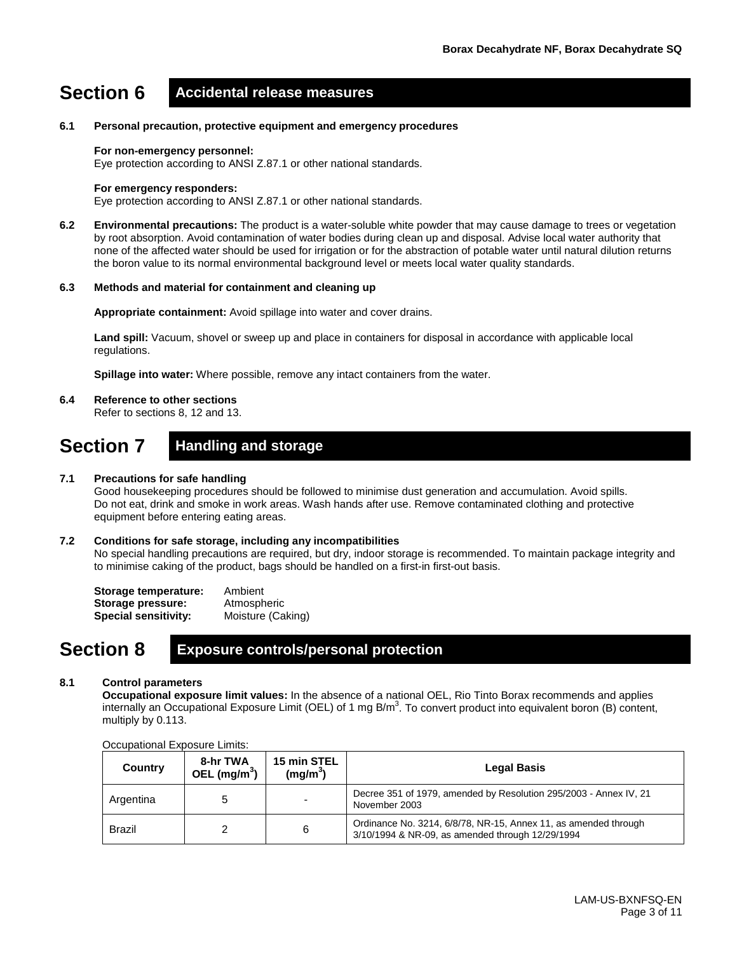### **Section 6 Accidental release measures**

#### **6.1 Personal precaution, protective equipment and emergency procedures**

#### **For non-emergency personnel:**

Eye protection according to ANSI Z.87.1 or other national standards.

#### **For emergency responders:**

Eye protection according to ANSI Z.87.1 or other national standards.

**6.2 Environmental precautions:** The product is a water-soluble white powder that may cause damage to trees or vegetation by root absorption. Avoid contamination of water bodies during clean up and disposal. Advise local water authority that none of the affected water should be used for irrigation or for the abstraction of potable water until natural dilution returns the boron value to its normal environmental background level or meets local water quality standards.

#### **6.3 Methods and material for containment and cleaning up**

**Appropriate containment:** Avoid spillage into water and cover drains.

**Land spill:** Vacuum, shovel or sweep up and place in containers for disposal in accordance with applicable local regulations.

**Spillage into water:** Where possible, remove any intact containers from the water.

#### **6.4 Reference to other sections**

Refer to sections 8, 12 and 13.

### **Section 7 Handling and storage**

#### **7.1 Precautions for safe handling**

Good housekeeping procedures should be followed to minimise dust generation and accumulation. Avoid spills. Do not eat, drink and smoke in work areas. Wash hands after use. Remove contaminated clothing and protective equipment before entering eating areas.

#### **7.2 Conditions for safe storage, including any incompatibilities**

No special handling precautions are required, but dry, indoor storage is recommended. To maintain package integrity and to minimise caking of the product, bags should be handled on a first-in first-out basis.

| Storage temperature:        | Ambient           |
|-----------------------------|-------------------|
| Storage pressure:           | Atmospheric       |
| <b>Special sensitivity:</b> | Moisture (Caking) |

### **Section 8 Exposure controls/personal protection**

#### **8.1 Control parameters**

**Occupational exposure limit values:** In the absence of a national OEL, Rio Tinto Borax recommends and applies internally an Occupational Exposure Limit (OEL) of 1 mg B/m<sup>3</sup>. To convert product into equivalent boron (B) content, multiply by 0.113.

| Country       | 8-hr TWA<br>OEL (mg/m <sup>3</sup> ) | 15 min STEL<br>(mg/m <sup>3</sup> ) | <b>Legal Basis</b>                                                                                                  |
|---------------|--------------------------------------|-------------------------------------|---------------------------------------------------------------------------------------------------------------------|
| Argentina     |                                      | -                                   | Decree 351 of 1979, amended by Resolution 295/2003 - Annex IV, 21<br>November 2003                                  |
| <b>Brazil</b> |                                      | 6                                   | Ordinance No. 3214, 6/8/78, NR-15, Annex 11, as amended through<br>3/10/1994 & NR-09, as amended through 12/29/1994 |

#### Occupational Exposure Limits: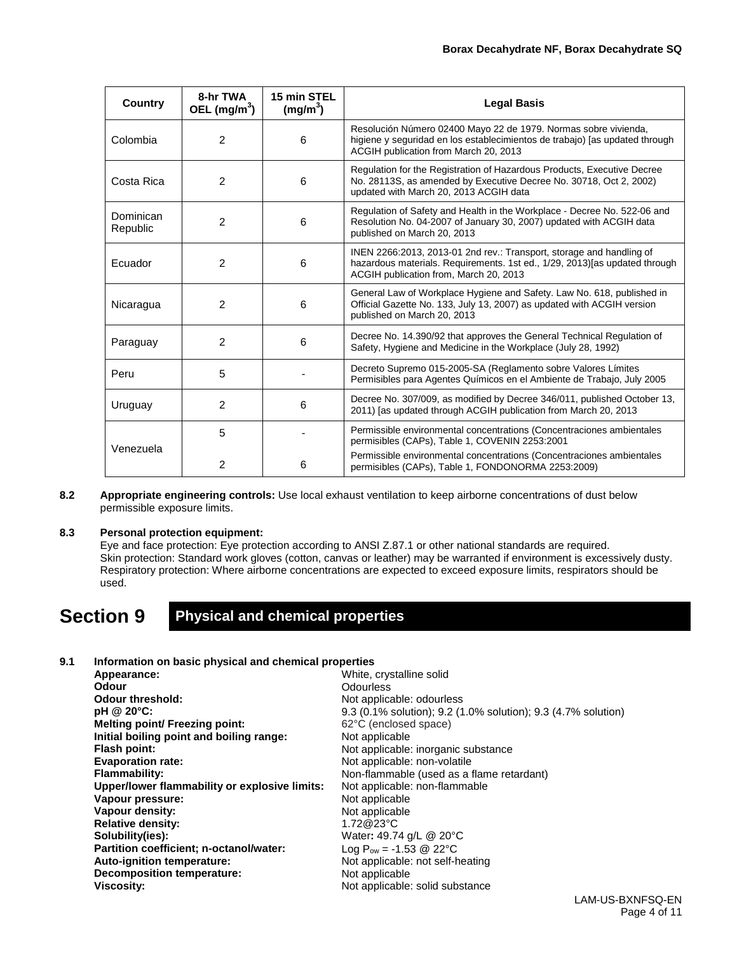| <b>Country</b>                 | 8-hr TWA<br>OEL $(mg/m^3)$ | 15 min STEL<br>(mg/m <sup>3</sup> )                                                                                                                                                  | <b>Legal Basis</b>                                                                                                                                                                            |  |
|--------------------------------|----------------------------|--------------------------------------------------------------------------------------------------------------------------------------------------------------------------------------|-----------------------------------------------------------------------------------------------------------------------------------------------------------------------------------------------|--|
| Colombia                       | $\overline{2}$             | 6                                                                                                                                                                                    | Resolución Número 02400 Mayo 22 de 1979. Normas sobre vivienda,<br>higiene y seguridad en los establecimientos de trabajo) [as updated through<br>ACGIH publication from March 20, 2013       |  |
| Costa Rica                     | $\overline{2}$             | 6                                                                                                                                                                                    | Regulation for the Registration of Hazardous Products, Executive Decree<br>No. 28113S, as amended by Executive Decree No. 30718, Oct 2, 2002)<br>updated with March 20, 2013 ACGIH data       |  |
| Dominican<br>Republic          | $\mathfrak{p}$             | 6                                                                                                                                                                                    | Regulation of Safety and Health in the Workplace - Decree No. 522-06 and<br>Resolution No. 04-2007 of January 30, 2007) updated with ACGIH data<br>published on March 20, 2013                |  |
| Ecuador                        | 2                          | 6                                                                                                                                                                                    | INEN 2266:2013, 2013-01 2nd rev.: Transport, storage and handling of<br>hazardous materials. Requirements. 1st ed., 1/29, 2013) [as updated through<br>ACGIH publication from, March 20, 2013 |  |
| Nicaragua                      | 2                          | General Law of Workplace Hygiene and Safety. Law No. 618, published in<br>6<br>Official Gazette No. 133, July 13, 2007) as updated with ACGIH version<br>published on March 20, 2013 |                                                                                                                                                                                               |  |
| Paraguay                       | $\overline{2}$             | 6                                                                                                                                                                                    | Decree No. 14.390/92 that approves the General Technical Regulation of<br>Safety, Hygiene and Medicine in the Workplace (July 28, 1992)                                                       |  |
| Peru                           | 5                          |                                                                                                                                                                                      | Decreto Supremo 015-2005-SA (Reglamento sobre Valores Límites<br>Permisibles para Agentes Químicos en el Ambiente de Trabajo, July 2005                                                       |  |
| $\overline{2}$<br>Uruguay<br>6 |                            | Decree No. 307/009, as modified by Decree 346/011, published October 13,<br>2011) [as updated through ACGIH publication from March 20, 2013                                          |                                                                                                                                                                                               |  |
| Venezuela                      | 5                          |                                                                                                                                                                                      | Permissible environmental concentrations (Concentraciones ambientales<br>permisibles (CAPs), Table 1, COVENIN 2253:2001                                                                       |  |
|                                | 2                          | 6                                                                                                                                                                                    | Permissible environmental concentrations (Concentraciones ambientales<br>permisibles (CAPs), Table 1, FONDONORMA 2253:2009)                                                                   |  |

**8.2 Appropriate engineering controls:** Use local exhaust ventilation to keep airborne concentrations of dust below permissible exposure limits.

#### **8.3 Personal protection equipment:**

Eye and face protection: Eye protection according to ANSI Z.87.1 or other national standards are required. Skin protection: Standard work gloves (cotton, canvas or leather) may be warranted if environment is excessively dusty. Respiratory protection: Where airborne concentrations are expected to exceed exposure limits, respirators should be used.

### **Section 9 Physical and chemical properties**

#### **9.1 Information on basic physical and chemical properties**

| Appearance:                                   | White, crystalline solid                                      |
|-----------------------------------------------|---------------------------------------------------------------|
| Odour                                         | <b>Odourless</b>                                              |
| Odour threshold:                              | Not applicable: odourless                                     |
| pH @ 20°C:                                    | 9.3 (0.1% solution); 9.2 (1.0% solution); 9.3 (4.7% solution) |
| Melting point/ Freezing point:                | 62°C (enclosed space)                                         |
| Initial boiling point and boiling range:      | Not applicable                                                |
| Flash point:                                  | Not applicable: inorganic substance                           |
| <b>Evaporation rate:</b>                      | Not applicable: non-volatile                                  |
| <b>Flammability:</b>                          | Non-flammable (used as a flame retardant)                     |
| Upper/lower flammability or explosive limits: | Not applicable: non-flammable                                 |
| Vapour pressure:                              | Not applicable                                                |
| Vapour density:                               | Not applicable                                                |
| <b>Relative density:</b>                      | 1.72@23°C                                                     |
| Solubility(ies):                              | Water: 49.74 g/L @ 20°C                                       |
| Partition coefficient; n-octanol/water:       | Log $P_{ow} = -1.53$ @ 22°C                                   |
| Auto-ignition temperature:                    | Not applicable: not self-heating                              |
| Decomposition temperature:                    | Not applicable                                                |
| <b>Viscosity:</b>                             | Not applicable: solid substance                               |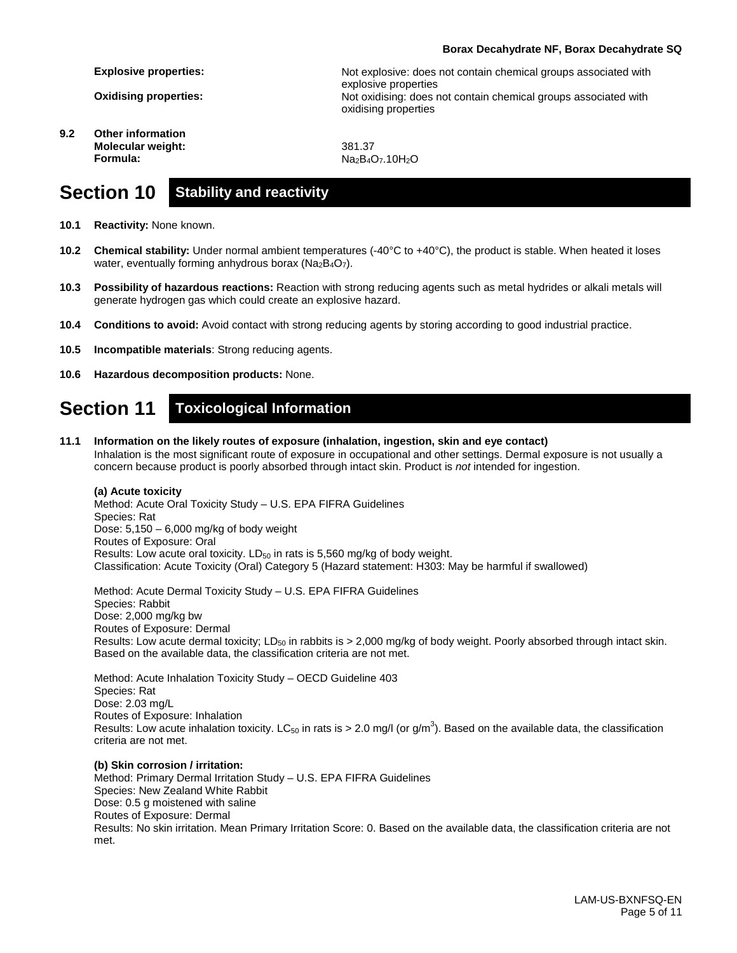#### **Borax Decahydrate NF, Borax Decahydrate SQ**

**Explosive properties:**

**Oxidising properties:**

**9.2 Other information Molecular weight: Formula:**

Not explosive: does not contain chemical groups associated with explosive properties Not oxidising: does not contain chemical groups associated with oxidising properties

381.37 Na<sub>2</sub>B<sub>4</sub>O<sub>7</sub>.10H<sub>2</sub>O

### **Section 10 Stability and reactivity**

- **10.1 Reactivity:** None known.
- **10.2 Chemical stability:** Under normal ambient temperatures (-40°C to +40°C), the product is stable. When heated it loses water, eventually forming anhydrous borax ( $Na<sub>2</sub>B<sub>4</sub>O<sub>7</sub>$ ).
- **10.3 Possibility of hazardous reactions:** Reaction with strong reducing agents such as metal hydrides or alkali metals will generate hydrogen gas which could create an explosive hazard.
- **10.4 Conditions to avoid:** Avoid contact with strong reducing agents by storing according to good industrial practice.
- **10.5 Incompatible materials**: Strong reducing agents.
- **10.6 Hazardous decomposition products:** None.

### **Section 11 Toxicological Information**

**11.1 Information on the likely routes of exposure (inhalation, ingestion, skin and eye contact)** Inhalation is the most significant route of exposure in occupational and other settings. Dermal exposure is not usually a concern because product is poorly absorbed through intact skin. Product is *not* intended for ingestion.

#### **(a) Acute toxicity**

Method: Acute Oral Toxicity Study – U.S. EPA FIFRA Guidelines Species: Rat Dose: 5,150 – 6,000 mg/kg of body weight Routes of Exposure: Oral Results: Low acute oral toxicity.  $LD_{50}$  in rats is 5,560 mg/kg of body weight. Classification: Acute Toxicity (Oral) Category 5 (Hazard statement: H303: May be harmful if swallowed)

Method: Acute Dermal Toxicity Study – U.S. EPA FIFRA Guidelines Species: Rabbit Dose: 2,000 mg/kg bw Routes of Exposure: Dermal Results: Low acute dermal toxicity; LD<sub>50</sub> in rabbits is  $> 2,000$  mg/kg of body weight. Poorly absorbed through intact skin. Based on the available data, the classification criteria are not met.

Method: Acute Inhalation Toxicity Study – OECD Guideline 403 Species: Rat Dose: 2.03 mg/L Routes of Exposure: Inhalation Results: Low acute inhalation toxicity. LC<sub>50</sub> in rats is > 2.0 mg/l (or g/m<sup>3</sup>). Based on the available data, the classification criteria are not met.

#### **(b) Skin corrosion / irritation:**

Method: Primary Dermal Irritation Study – U.S. EPA FIFRA Guidelines Species: New Zealand White Rabbit Dose: 0.5 g moistened with saline Routes of Exposure: Dermal Results: No skin irritation. Mean Primary Irritation Score: 0. Based on the available data, the classification criteria are not met.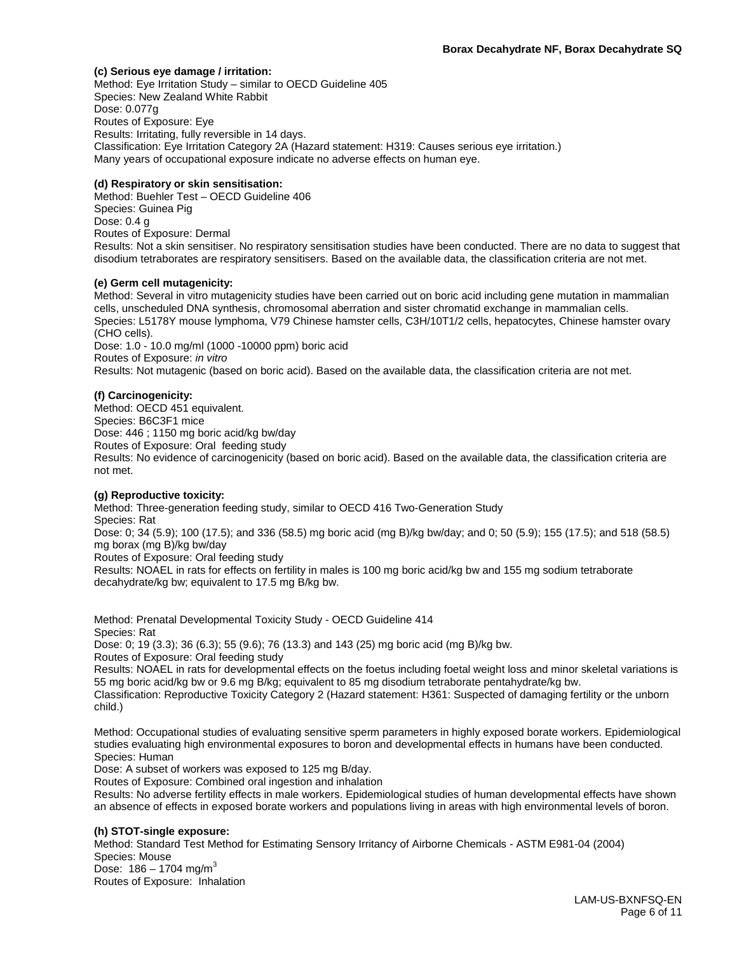#### **(c) Serious eye damage / irritation:**

Method: Eye Irritation Study – similar to OECD Guideline 405 Species: New Zealand White Rabbit Dose: 0.077g Routes of Exposure: Eye Results: Irritating, fully reversible in 14 days. Classification: Eye Irritation Category 2A (Hazard statement: H319: Causes serious eye irritation.) Many years of occupational exposure indicate no adverse effects on human eye.

#### **(d) Respiratory or skin sensitisation:**

Method: Buehler Test – OECD Guideline 406 Species: Guinea Pig Dose: 0.4 g Routes of Exposure: Dermal Results: Not a skin sensitiser. No respiratory sensitisation studies have been conducted. There are no data to suggest that disodium tetraborates are respiratory sensitisers. Based on the available data, the classification criteria are not met.

#### **(e) Germ cell mutagenicity:**

Method: Several in vitro mutagenicity studies have been carried out on boric acid including gene mutation in mammalian cells, unscheduled DNA synthesis, chromosomal aberration and sister chromatid exchange in mammalian cells. Species: L5178Y mouse lymphoma, V79 Chinese hamster cells, C3H/10T1/2 cells, hepatocytes, Chinese hamster ovary (CHO cells).

Dose: 1.0 - 10.0 mg/ml (1000 -10000 ppm) boric acid Routes of Exposure: *in vitro* Results: Not mutagenic (based on boric acid). Based on the available data, the classification criteria are not met.

#### **(f) Carcinogenicity:**

Method: OECD 451 equivalent. Species: B6C3F1 mice Dose: 446 ; 1150 mg boric acid/kg bw/day Routes of Exposure: Oral feeding study Results: No evidence of carcinogenicity (based on boric acid). Based on the available data, the classification criteria are not met.

#### **(g) Reproductive toxicity:**

Method: Three-generation feeding study, similar to OECD 416 Two-Generation Study Species: Rat Dose: 0; 34 (5.9); 100 (17.5); and 336 (58.5) mg boric acid (mg B)/kg bw/day; and 0; 50 (5.9); 155 (17.5); and 518 (58.5) mg borax (mg B)/kg bw/day Routes of Exposure: Oral feeding study

Results: NOAEL in rats for effects on fertility in males is 100 mg boric acid/kg bw and 155 mg sodium tetraborate decahydrate/kg bw; equivalent to 17.5 mg B/kg bw.

Method: Prenatal Developmental Toxicity Study - OECD Guideline 414 Species: Rat Dose: 0; 19 (3.3); 36 (6.3); 55 (9.6); 76 (13.3) and 143 (25) mg boric acid (mg B)/kg bw. Routes of Exposure: Oral feeding study

Results: NOAEL in rats for developmental effects on the foetus including foetal weight loss and minor skeletal variations is 55 mg boric acid/kg bw or 9.6 mg B/kg; equivalent to 85 mg disodium tetraborate pentahydrate/kg bw.

Classification: Reproductive Toxicity Category 2 (Hazard statement: H361: Suspected of damaging fertility or the unborn child.)

Method: Occupational studies of evaluating sensitive sperm parameters in highly exposed borate workers. Epidemiological studies evaluating high environmental exposures to boron and developmental effects in humans have been conducted. Species: Human

Dose: A subset of workers was exposed to 125 mg B/day.

Routes of Exposure: Combined oral ingestion and inhalation

Results: No adverse fertility effects in male workers. Epidemiological studies of human developmental effects have shown an absence of effects in exposed borate workers and populations living in areas with high environmental levels of boron.

#### **(h) STOT-single exposure:**

Method: Standard Test Method for Estimating Sensory Irritancy of Airborne Chemicals - ASTM E981-04 (2004) Species: Mouse Dose:  $186 - 1704$  mg/m<sup>3</sup> Routes of Exposure: Inhalation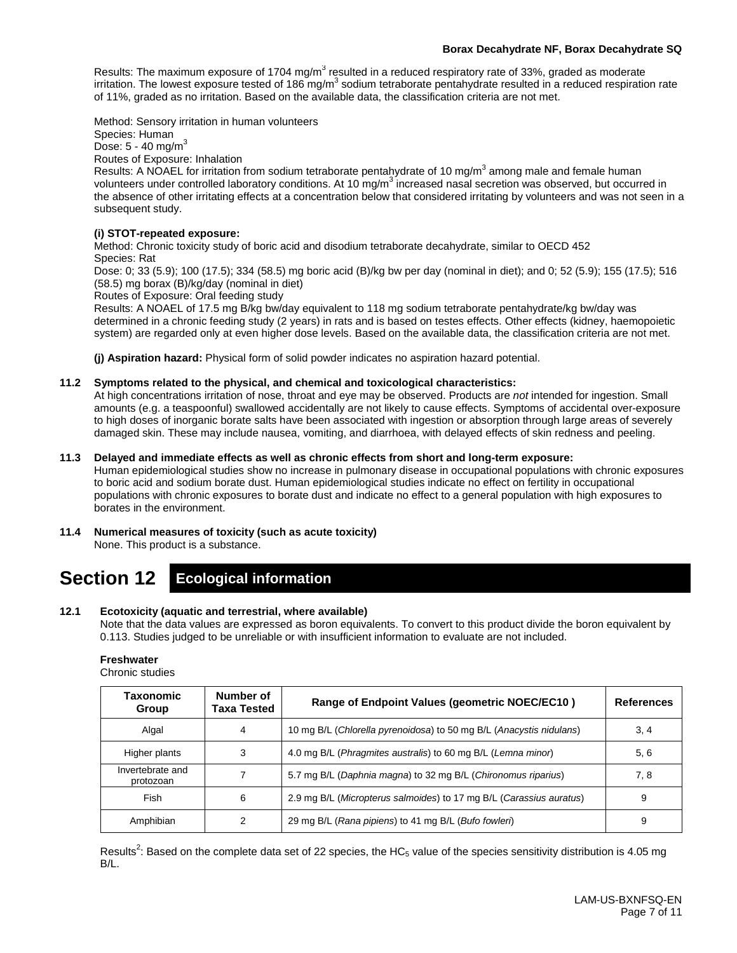#### **Borax Decahydrate NF, Borax Decahydrate SQ**

Results: The maximum exposure of 1704 mg/m<sup>3</sup> resulted in a reduced respiratory rate of 33%, graded as moderate irritation. The lowest exposure tested of 186 mg/m<sup>3</sup> sodium tetraborate pentahydrate resulted in a reduced respiration rate of 11%, graded as no irritation. Based on the available data, the classification criteria are not met.

Method: Sensory irritation in human volunteers

Species: Human Dose: 5 - 40 mg/m<sup>3</sup>

Routes of Exposure: Inhalation

Results: A NOAEL for irritation from sodium tetraborate pentahydrate of 10 mg/m<sup>3</sup> among male and female human volunteers under controlled laboratory conditions. At 10  $mg/m<sup>3</sup>$  increased nasal secretion was observed, but occurred in the absence of other irritating effects at a concentration below that considered irritating by volunteers and was not seen in a subsequent study.

#### **(i) STOT-repeated exposure:**

Method: Chronic toxicity study of boric acid and disodium tetraborate decahydrate, similar to OECD 452 Species: Rat

Dose: 0; 33 (5.9); 100 (17.5); 334 (58.5) mg boric acid (B)/kg bw per day (nominal in diet); and 0; 52 (5.9); 155 (17.5); 516 (58.5) mg borax (B)/kg/day (nominal in diet)

Routes of Exposure: Oral feeding study

Results: A NOAEL of 17.5 mg B/kg bw/day equivalent to 118 mg sodium tetraborate pentahydrate/kg bw/day was determined in a chronic feeding study (2 years) in rats and is based on testes effects. Other effects (kidney, haemopoietic system) are regarded only at even higher dose levels. Based on the available data, the classification criteria are not met.

**(j) Aspiration hazard:** Physical form of solid powder indicates no aspiration hazard potential.

#### **11.2 Symptoms related to the physical, and chemical and toxicological characteristics:**

At high concentrations irritation of nose, throat and eye may be observed. Products are *not* intended for ingestion. Small amounts (e.g. a teaspoonful) swallowed accidentally are not likely to cause effects. Symptoms of accidental over-exposure to high doses of inorganic borate salts have been associated with ingestion or absorption through large areas of severely damaged skin. These may include nausea, vomiting, and diarrhoea, with delayed effects of skin redness and peeling.

#### **11.3 Delayed and immediate effects as well as chronic effects from short and long-term exposure:**

Human epidemiological studies show no increase in pulmonary disease in occupational populations with chronic exposures to boric acid and sodium borate dust. Human epidemiological studies indicate no effect on fertility in occupational populations with chronic exposures to borate dust and indicate no effect to a general population with high exposures to borates in the environment.

#### **11.4 Numerical measures of toxicity (such as acute toxicity)**

None. This product is a substance.

## **Section 12 Ecological information**

#### **12.1 Ecotoxicity (aquatic and terrestrial, where available)**

Note that the data values are expressed as boron equivalents. To convert to this product divide the boron equivalent by 0.113. Studies judged to be unreliable or with insufficient information to evaluate are not included.

#### **Freshwater**

Chronic studies

| Taxonomic<br>Group            | Number of<br>Taxa Tested | Range of Endpoint Values (geometric NOEC/EC10)                      | <b>References</b> |
|-------------------------------|--------------------------|---------------------------------------------------------------------|-------------------|
| Algal                         | 4                        | 10 mg B/L (Chlorella pyrenoidosa) to 50 mg B/L (Anacystis nidulans) | 3, 4              |
| Higher plants                 | 3                        | 4.0 mg B/L (Phragmites australis) to 60 mg B/L (Lemna minor)        | 5, 6              |
| Invertebrate and<br>protozoan |                          | 5.7 mg B/L (Daphnia magna) to 32 mg B/L (Chironomus riparius)       | 7, 8              |
| Fish                          | 6                        | 2.9 mg B/L (Micropterus salmoides) to 17 mg B/L (Carassius auratus) | 9                 |
| Amphibian                     | 2                        | 29 mg B/L (Rana pipiens) to 41 mg B/L (Bufo fowleri)                | 9                 |

Results<sup>2</sup>: Based on the complete data set of 22 species, the HC<sub>5</sub> value of the species sensitivity distribution is 4.05 mg B/L.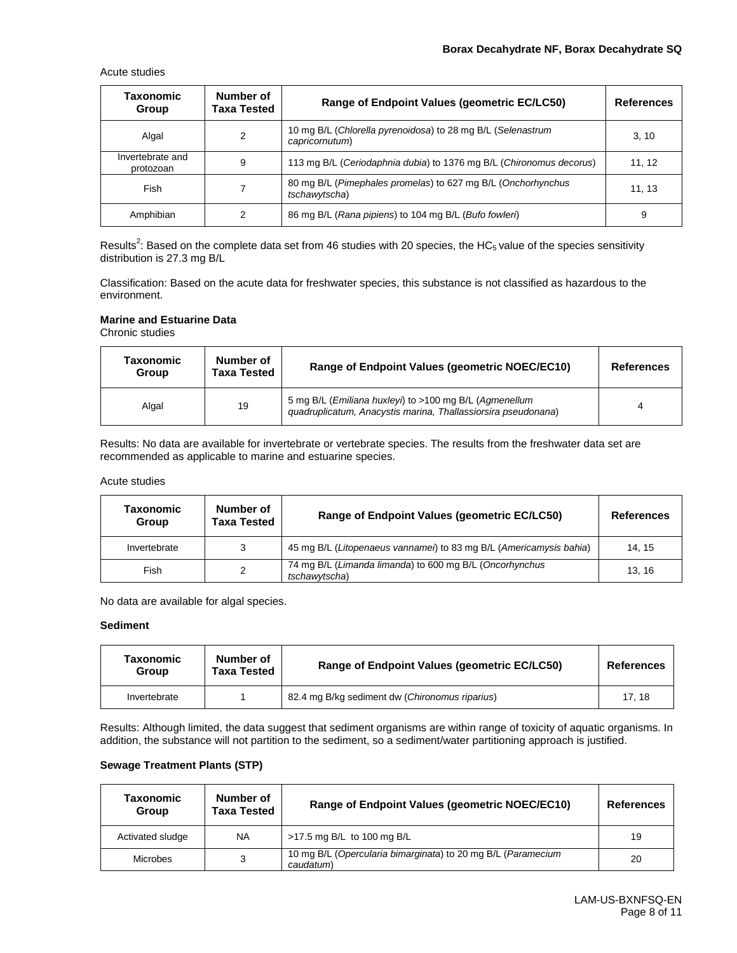Acute studies

| Taxonomic<br>Group            | Number of<br>Taxa Tested | Range of Endpoint Values (geometric EC/LC50)                                  | <b>References</b> |
|-------------------------------|--------------------------|-------------------------------------------------------------------------------|-------------------|
| Algal                         | 2                        | 10 mg B/L (Chlorella pyrenoidosa) to 28 mg B/L (Selenastrum<br>capricornutum) | 3, 10             |
| Invertebrate and<br>protozoan | 9                        | 113 mg B/L (Ceriodaphnia dubia) to 1376 mg B/L (Chironomus decorus)           | 11, 12            |
| Fish                          |                          | 80 mg B/L (Pimephales promelas) to 627 mg B/L (Onchorhynchus<br>tschawytscha) | 11, 13            |
| Amphibian                     | 2                        | 86 mg B/L (Rana pipiens) to 104 mg B/L (Bufo fowleri)                         | 9                 |

Results<sup>2</sup>: Based on the complete data set from 46 studies with 20 species, the HC<sub>5</sub> value of the species sensitivity distribution is 27.3 mg B/L

Classification: Based on the acute data for freshwater species, this substance is not classified as hazardous to the environment.

#### **Marine and Estuarine Data**

Chronic studies

| Taxonomic<br>Group | Number of<br><b>Taxa Tested</b> | Range of Endpoint Values (geometric NOEC/EC10)                                                                          | <b>References</b> |
|--------------------|---------------------------------|-------------------------------------------------------------------------------------------------------------------------|-------------------|
| Algal              | 19                              | 5 mg B/L (Emiliana huxleyi) to >100 mg B/L (Agmenellum<br>guadruplicatum, Anacystis marina, Thallassiorsira pseudonana) |                   |

Results: No data are available for invertebrate or vertebrate species. The results from the freshwater data set are recommended as applicable to marine and estuarine species.

#### Acute studies

| Taxonomic<br>Group | Number of<br>Taxa Tested | Range of Endpoint Values (geometric EC/LC50)                             | <b>References</b> |
|--------------------|--------------------------|--------------------------------------------------------------------------|-------------------|
| Invertebrate       | 3                        | 45 mg B/L (Litopenaeus vannamei) to 83 mg B/L (Americamysis bahia)       | 14.15             |
| Fish               | 2                        | 74 mg B/L (Limanda limanda) to 600 mg B/L (Oncorhynchus<br>tschawvtscha) | 13.16             |

No data are available for algal species.

#### **Sediment**

| Taxonomic<br>Group | Number of<br>Taxa Tested | Range of Endpoint Values (geometric EC/LC50)   | <b>References</b> |
|--------------------|--------------------------|------------------------------------------------|-------------------|
| Invertebrate       |                          | 82.4 mg B/kg sediment dw (Chironomus riparius) | 17.18             |

Results: Although limited, the data suggest that sediment organisms are within range of toxicity of aquatic organisms. In addition, the substance will not partition to the sediment, so a sediment/water partitioning approach is justified.

#### **Sewage Treatment Plants (STP)**

| Taxonomic<br>Group | Number of<br><b>Taxa Tested</b> | Range of Endpoint Values (geometric NOEC/EC10)                            | <b>References</b> |
|--------------------|---------------------------------|---------------------------------------------------------------------------|-------------------|
| Activated sludge   | <b>NA</b>                       | >17.5 mg B/L to 100 mg B/L                                                | 19                |
| Microbes           | 3                               | 10 mg B/L (Opercularia bimarginata) to 20 mg B/L (Paramecium<br>caudatum) | 20                |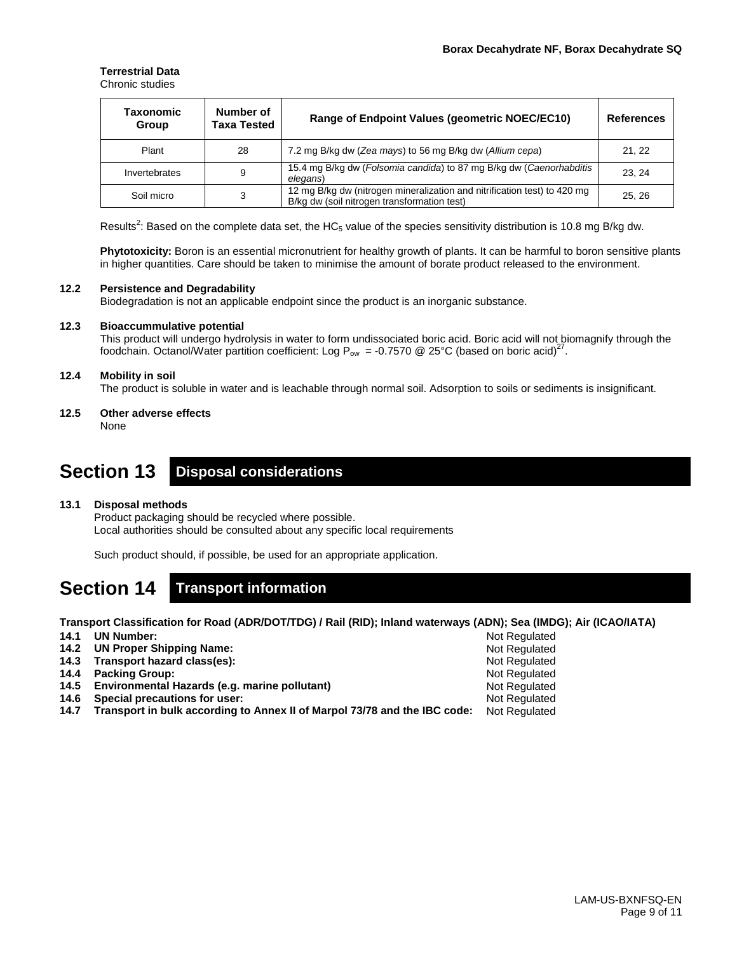#### **Terrestrial Data** Chronic studies

| Taxonomic<br>Group | Number of<br>Taxa Tested | Range of Endpoint Values (geometric NOEC/EC10)                                                                          | <b>References</b> |
|--------------------|--------------------------|-------------------------------------------------------------------------------------------------------------------------|-------------------|
| Plant              | 28                       | 7.2 mg B/kg dw (Zea mays) to 56 mg B/kg dw (Allium cepa)                                                                | 21, 22            |
| Invertebrates      | 9                        | 15.4 mg B/kg dw (Folsomia candida) to 87 mg B/kg dw (Caenorhabditis<br>elegans)                                         | 23.24             |
| Soil micro         | 3                        | 12 mg B/kg dw (nitrogen mineralization and nitrification test) to 420 mg<br>B/kg dw (soil nitrogen transformation test) | 25.26             |

Results<sup>2</sup>: Based on the complete data set, the HC<sub>5</sub> value of the species sensitivity distribution is 10.8 mg B/kg dw.

**Phytotoxicity:** Boron is an essential micronutrient for healthy growth of plants. It can be harmful to boron sensitive plants in higher quantities. Care should be taken to minimise the amount of borate product released to the environment.

#### **12.2 Persistence and Degradability**

Biodegradation is not an applicable endpoint since the product is an inorganic substance.

#### **12.3 Bioaccummulative potential**

This product will undergo hydrolysis in water to form undissociated boric acid. Boric acid will not biomagnify through the foodchain. Octanol/Water partition coefficient: Log P<sub>ow</sub> = -0.7570 @ 25°C (based on boric acid)<sup>27</sup>.

#### **12.4 Mobility in soil**

The product is soluble in water and is leachable through normal soil. Adsorption to soils or sediments is insignificant.

**12.5 Other adverse effects** None

### **Section 13 Disposal considerations**

#### **13.1 Disposal methods**

Product packaging should be recycled where possible. Local authorities should be consulted about any specific local requirements

Such product should, if possible, be used for an appropriate application.

### **Section 14 Transport information**

**Transport Classification for Road (ADR/DOT/TDG) / Rail (RID); Inland waterways (ADN); Sea (IMDG); Air (ICAO/IATA)**

| 14.1 | <b>UN Number:</b>                                                              | Not Regulated        |
|------|--------------------------------------------------------------------------------|----------------------|
|      | 14.2 UN Proper Shipping Name:                                                  | <b>Not Regulated</b> |
|      | 14.3 Transport hazard class(es):                                               | Not Regulated        |
|      | 14.4 Packing Group:                                                            | Not Regulated        |
|      | 14.5 Environmental Hazards (e.g. marine pollutant)                             | <b>Not Regulated</b> |
|      | 14.6 Special precautions for user:                                             | Not Regulated        |
|      | 14.7 Transport in bulk according to Annex II of Marpol 73/78 and the IBC code: | Not Regulated        |
|      |                                                                                |                      |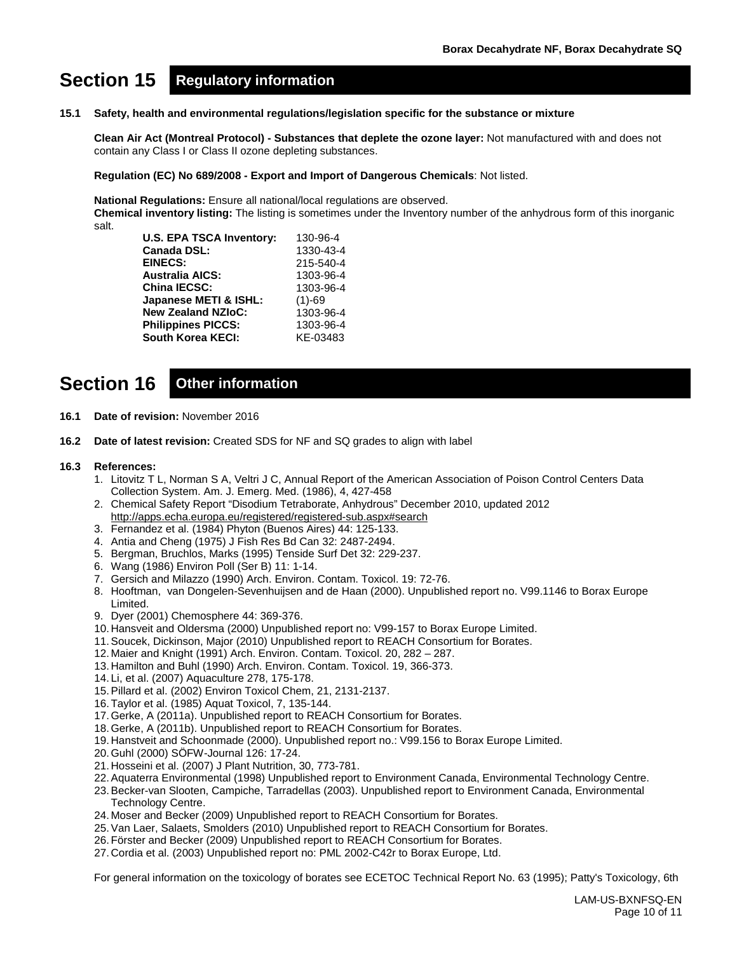# **Section 15 Regulatory information**

#### **15.1 Safety, health and environmental regulations/legislation specific for the substance or mixture**

**Clean Air Act (Montreal Protocol) - Substances that deplete the ozone layer:** Not manufactured with and does not contain any Class I or Class II ozone depleting substances.

**Regulation (EC) No 689/2008 - Export and Import of Dangerous Chemicals**: Not listed.

**National Regulations:** Ensure all national/local regulations are observed.

**Chemical inventory listing:** The listing is sometimes under the Inventory number of the anhydrous form of this inorganic salt.

| <b>U.S. EPA TSCA Inventory:</b> | 130-96-4  |
|---------------------------------|-----------|
| <b>Canada DSL:</b>              | 1330-43-4 |
| <b>EINECS:</b>                  | 215-540-4 |
| <b>Australia AICS:</b>          | 1303-96-4 |
| <b>China IECSC:</b>             | 1303-96-4 |
| Japanese METI & ISHL:           | $(1)-69$  |
| <b>New Zealand NZIoC:</b>       | 1303-96-4 |
| <b>Philippines PICCS:</b>       | 1303-96-4 |
| <b>South Korea KECI:</b>        | KE-03483  |

# **Section 16 Other information**

- **16.1 Date of revision:** November 2016
- **16.2 Date of latest revision:** Created SDS for NF and SQ grades to align with label

#### **16.3 References:**

- 1. Litovitz T L, Norman S A, Veltri J C, Annual Report of the American Association of Poison Control Centers Data Collection System. Am. J. Emerg. Med. (1986), 4, 427-458
- 2. Chemical Safety Report "Disodium Tetraborate, Anhydrous" December 2010, updated 2012 <http://apps.echa.europa.eu/registered/registered-sub.aspx#search>
- 3. Fernandez et al. (1984) Phyton (Buenos Aires) 44: 125-133.
- 4. Antia and Cheng (1975) J Fish Res Bd Can 32: 2487-2494.
- 5. Bergman, Bruchlos, Marks (1995) Tenside Surf Det 32: 229-237.
- 6. Wang (1986) Environ Poll (Ser B) 11: 1-14.
- 7. Gersich and Milazzo (1990) Arch. Environ. Contam. Toxicol. 19: 72-76.
- 8. Hooftman, van Dongelen-Sevenhuijsen and de Haan (2000). Unpublished report no. V99.1146 to Borax Europe Limited.
- 9. Dyer (2001) Chemosphere 44: 369-376.
- 10. Hansveit and Oldersma (2000) Unpublished report no: V99-157 to Borax Europe Limited.
- 11.Soucek, Dickinson, Major (2010) Unpublished report to REACH Consortium for Borates.
- 12. Maier and Knight (1991) Arch. Environ. Contam. Toxicol. 20, 282 287.
- 13. Hamilton and Buhl (1990) Arch. Environ. Contam. Toxicol. 19, 366-373.
- 14. Li, et al. (2007) Aquaculture 278, 175-178.
- 15.Pillard et al. (2002) Environ Toxicol Chem, 21, 2131-2137.
- 16.Taylor et al. (1985) Aquat Toxicol, 7, 135-144.
- 17.Gerke, A (2011a). Unpublished report to REACH Consortium for Borates.
- 18.Gerke, A (2011b). Unpublished report to REACH Consortium for Borates.
- 19. Hanstveit and Schoonmade (2000). Unpublished report no.: V99.156 to Borax Europe Limited.
- 20.Guhl (2000) SÖFW-Journal 126: 17-24.
- 21. Hosseini et al. (2007) J Plant Nutrition, 30, 773-781.
- 22.Aquaterra Environmental (1998) Unpublished report to Environment Canada, Environmental Technology Centre.
- 23.Becker-van Slooten, Campiche, Tarradellas (2003). Unpublished report to Environment Canada, Environmental Technology Centre.
- 24. Moser and Becker (2009) Unpublished report to REACH Consortium for Borates.
- 25.Van Laer, Salaets, Smolders (2010) Unpublished report to REACH Consortium for Borates.
- 26.Förster and Becker (2009) Unpublished report to REACH Consortium for Borates.
- 27. Cordia et al. (2003) Unpublished report no: PML 2002-C42r to Borax Europe, Ltd.

For general information on the toxicology of borates see ECETOC Technical Report No. 63 (1995); Patty's Toxicology, 6th